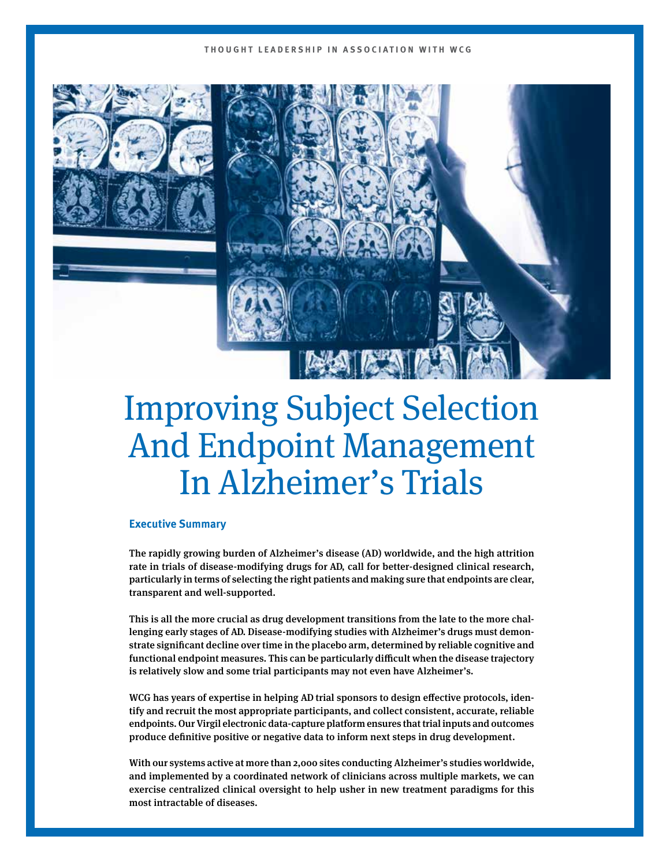## **THOUGHT LEADERSHIP IN ASSOCIATION WITH WCG**





# Improving Subject Selection And Endpoint Management In Alzheimer's Trials

## **Executive Summary**

The rapidly growing burden of Alzheimer's disease (AD) worldwide, and the high attrition rate in trials of disease-modifying drugs for AD, call for better-designed clinical research, particularly in terms of selecting the right patients and making sure that endpoints are clear, transparent and well-supported.

This is all the more crucial as drug development transitions from the late to the more challenging early stages of AD. Disease-modifying studies with Alzheimer's drugs must demonstrate significant decline over time in the placebo arm, determined by reliable cognitive and functional endpoint measures. This can be particularly difficult when the disease trajectory is relatively slow and some trial participants may not even have Alzheimer's.

WCG has years of expertise in helping AD trial sponsors to design effective protocols, identify and recruit the most appropriate participants, and collect consistent, accurate, reliable endpoints. Our Virgil electronic data-capture platform ensures that trial inputs and outcomes produce definitive positive or negative data to inform next steps in drug development.

With our systems active at more than 2,000 sites conducting Alzheimer's studies worldwide, and implemented by a coordinated network of clinicians across multiple markets, we can exercise centralized clinical oversight to help usher in new treatment paradigms for this most intractable of diseases.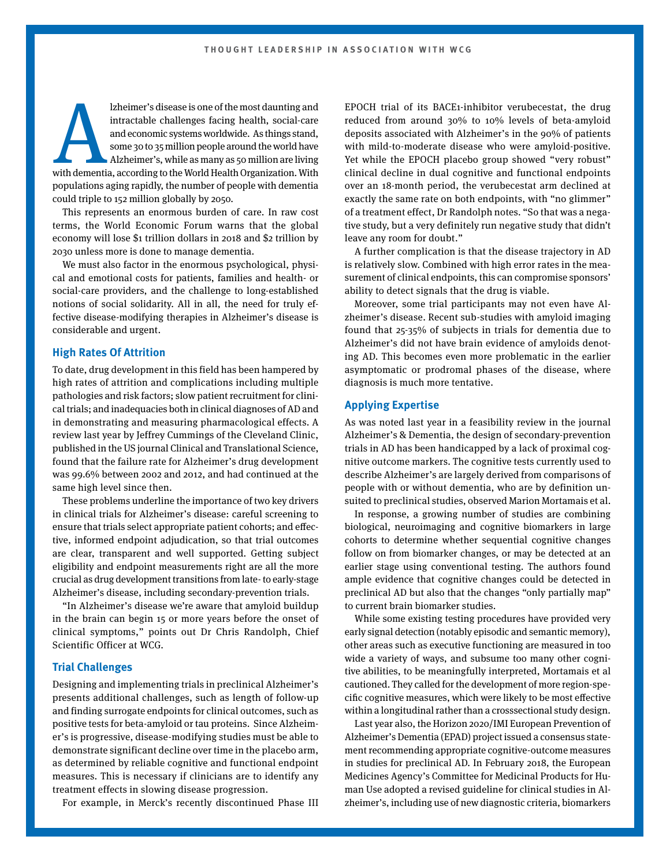Izheimer's disease is one of the most daunting and intractable challenges facing health, social-care and economic systems worldwide. As things stand, some 30 to 35 million people around the world have Alzheimer's, while as intractable challenges facing health, social-care and economic systems worldwide. As things stand, some 30 to 35 million people around the world have Alzheimer's, while as many as 50 million are living populations aging rapidly, the number of people with dementia could triple to 152 million globally by 2050.

This represents an enormous burden of care. In raw cost terms, the World Economic Forum warns that the global economy will lose \$1 trillion dollars in 2018 and \$2 trillion by 2030 unless more is done to manage dementia.

We must also factor in the enormous psychological, physical and emotional costs for patients, families and health- or social-care providers, and the challenge to long-established notions of social solidarity. All in all, the need for truly effective disease-modifying therapies in Alzheimer's disease is considerable and urgent.

#### **High Rates Of Attrition**

To date, drug development in this field has been hampered by high rates of attrition and complications including multiple pathologies and risk factors; slow patient recruitment for clinical trials; and inadequacies both in clinical diagnoses of AD and in demonstrating and measuring pharmacological effects. A review last year by Jeffrey Cummings of the Cleveland Clinic, published in the US journal Clinical and Translational Science, found that the failure rate for Alzheimer's drug development was 99.6% between 2002 and 2012, and had continued at the same high level since then.

These problems underline the importance of two key drivers in clinical trials for Alzheimer's disease: careful screening to ensure that trials select appropriate patient cohorts; and effective, informed endpoint adjudication, so that trial outcomes are clear, transparent and well supported. Getting subject eligibility and endpoint measurements right are all the more crucial as drug development transitions from late- to early-stage Alzheimer's disease, including secondary-prevention trials.

"In Alzheimer's disease we're aware that amyloid buildup in the brain can begin 15 or more years before the onset of clinical symptoms," points out Dr Chris Randolph, Chief Scientific Officer at WCG.

# **Trial Challenges**

Designing and implementing trials in preclinical Alzheimer's presents additional challenges, such as length of follow-up and finding surrogate endpoints for clinical outcomes, such as positive tests for beta-amyloid or tau proteins. Since Alzheimer's is progressive, disease-modifying studies must be able to demonstrate significant decline over time in the placebo arm, as determined by reliable cognitive and functional endpoint measures. This is necessary if clinicians are to identify any treatment effects in slowing disease progression.

For example, in Merck's recently discontinued Phase III

EPOCH trial of its BACE1-inhibitor verubecestat, the drug reduced from around 30% to 10% levels of beta-amyloid deposits associated with Alzheimer's in the 90% of patients with mild-to-moderate disease who were amyloid-positive. Yet while the EPOCH placebo group showed "very robust" clinical decline in dual cognitive and functional endpoints over an 18-month period, the verubecestat arm declined at exactly the same rate on both endpoints, with "no glimmer" of a treatment effect, Dr Randolph notes. "So that was a negative study, but a very definitely run negative study that didn't leave any room for doubt."

A further complication is that the disease trajectory in AD is relatively slow. Combined with high error rates in the measurement of clinical endpoints, this can compromise sponsors' ability to detect signals that the drug is viable.

Moreover, some trial participants may not even have Alzheimer's disease. Recent sub-studies with amyloid imaging found that 25-35% of subjects in trials for dementia due to Alzheimer's did not have brain evidence of amyloids denoting AD. This becomes even more problematic in the earlier asymptomatic or prodromal phases of the disease, where diagnosis is much more tentative.

### **Applying Expertise**

As was noted last year in a feasibility review in the journal Alzheimer's & Dementia, the design of secondary-prevention trials in AD has been handicapped by a lack of proximal cognitive outcome markers. The cognitive tests currently used to describe Alzheimer's are largely derived from comparisons of people with or without dementia, who are by definition unsuited to preclinical studies, observed Marion Mortamais et al.

In response, a growing number of studies are combining biological, neuroimaging and cognitive biomarkers in large cohorts to determine whether sequential cognitive changes follow on from biomarker changes, or may be detected at an earlier stage using conventional testing. The authors found ample evidence that cognitive changes could be detected in preclinical AD but also that the changes "only partially map" to current brain biomarker studies.

While some existing testing procedures have provided very early signal detection (notably episodic and semantic memory), other areas such as executive functioning are measured in too wide a variety of ways, and subsume too many other cognitive abilities, to be meaningfully interpreted, Mortamais et al cautioned. They called for the development of more region-specific cognitive measures, which were likely to be most effective within a longitudinal rather than a crosssectional study design.

Last year also, the Horizon 2020/IMI European Prevention of Alzheimer's Dementia (EPAD) project issued a consensus statement recommending appropriate cognitive-outcome measures in studies for preclinical AD. In February 2018, the European Medicines Agency's Committee for Medicinal Products for Human Use adopted a revised guideline for clinical studies in Alzheimer's, including use of new diagnostic criteria, biomarkers